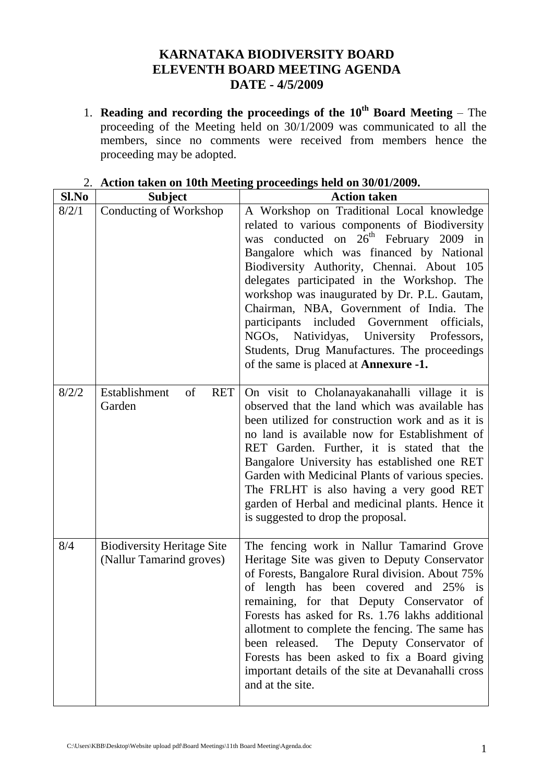## **KARNATAKA BIODIVERSITY BOARD ELEVENTH BOARD MEETING AGENDA DATE - 4/5/2009**

1. **Reading and recording the proceedings of the 10th Board Meeting** – The proceeding of the Meeting held on 30/1/2009 was communicated to all the members, since no comments were received from members hence the proceeding may be adopted.

| Sl.No | <b>Subject</b>                                                | <b>Action taken</b>                                                                                                                                                                                                                                                                                                                                                                                                                                                                                                                                                                   |  |
|-------|---------------------------------------------------------------|---------------------------------------------------------------------------------------------------------------------------------------------------------------------------------------------------------------------------------------------------------------------------------------------------------------------------------------------------------------------------------------------------------------------------------------------------------------------------------------------------------------------------------------------------------------------------------------|--|
| 8/2/1 | Conducting of Workshop                                        | A Workshop on Traditional Local knowledge<br>related to various components of Biodiversity<br>was conducted on 26 <sup>th</sup> February 2009 in<br>Bangalore which was financed by National<br>Biodiversity Authority, Chennai. About 105<br>delegates participated in the Workshop. The<br>workshop was inaugurated by Dr. P.L. Gautam,<br>Chairman, NBA, Government of India. The<br>participants included Government<br>officials,<br>NGOs,<br>Natividyas, University Professors,<br>Students, Drug Manufactures. The proceedings<br>of the same is placed at <b>Annexure -1.</b> |  |
| 8/2/2 | Establishment<br>of<br><b>RET</b><br>Garden                   | On visit to Cholanayakanahalli village it is<br>observed that the land which was available has<br>been utilized for construction work and as it is<br>no land is available now for Establishment of<br>RET Garden. Further, it is stated that the<br>Bangalore University has established one RET<br>Garden with Medicinal Plants of various species.<br>The FRLHT is also having a very good RET<br>garden of Herbal and medicinal plants. Hence it<br>is suggested to drop the proposal.                                                                                            |  |
| 8/4   | <b>Biodiversity Heritage Site</b><br>(Nallur Tamarind groves) | The fencing work in Nallur Tamarind Grove<br>Heritage Site was given to Deputy Conservator<br>of Forests, Bangalore Rural division. About 75%<br>of length has been covered and 25%<br>is<br>remaining, for that Deputy Conservator of<br>Forests has asked for Rs. 1.76 lakhs additional<br>allotment to complete the fencing. The same has<br>been released.<br>The Deputy Conservator of<br>Forests has been asked to fix a Board giving<br>important details of the site at Devanahalli cross<br>and at the site.                                                                 |  |

## 2. **Action taken on 10th Meeting proceedings held on 30/01/2009.**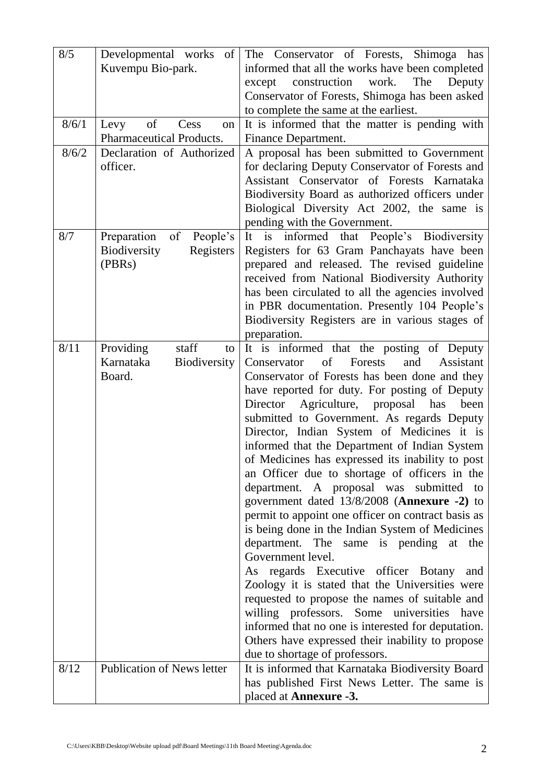| 8/5   | Developmental works<br>of           | The Conservator of Forests, Shimoga has                                                               |  |  |
|-------|-------------------------------------|-------------------------------------------------------------------------------------------------------|--|--|
|       | Kuvempu Bio-park.                   | informed that all the works have been completed                                                       |  |  |
|       |                                     | construction work.<br>except<br>The<br>Deputy                                                         |  |  |
|       |                                     | Conservator of Forests, Shimoga has been asked                                                        |  |  |
|       |                                     | to complete the same at the earliest.                                                                 |  |  |
| 8/6/1 | of<br>Cess<br>Levy<br>on            | It is informed that the matter is pending with                                                        |  |  |
|       | Pharmaceutical Products.            | Finance Department.                                                                                   |  |  |
| 8/6/2 | Declaration of Authorized           | A proposal has been submitted to Government                                                           |  |  |
|       | officer.                            | for declaring Deputy Conservator of Forests and                                                       |  |  |
|       |                                     | Assistant Conservator of Forests Karnataka                                                            |  |  |
|       |                                     | Biodiversity Board as authorized officers under                                                       |  |  |
|       |                                     | Biological Diversity Act 2002, the same is                                                            |  |  |
|       |                                     | pending with the Government.                                                                          |  |  |
| 8/7   | Preparation<br>of<br>People's       | It is informed that People's Biodiversity                                                             |  |  |
|       | Biodiversity<br>Registers<br>(PBRs) | Registers for 63 Gram Panchayats have been<br>prepared and released. The revised guideline            |  |  |
|       |                                     | received from National Biodiversity Authority                                                         |  |  |
|       |                                     | has been circulated to all the agencies involved                                                      |  |  |
|       |                                     | in PBR documentation. Presently 104 People's                                                          |  |  |
|       |                                     | Biodiversity Registers are in various stages of                                                       |  |  |
|       |                                     | preparation.                                                                                          |  |  |
| 8/11  | staff<br>Providing<br>to            | It is informed that the posting of Deputy                                                             |  |  |
|       | Karnataka<br><b>Biodiversity</b>    | of<br>and<br>Assistant<br>Conservator<br>Forests                                                      |  |  |
|       | Board.                              | Conservator of Forests has been done and they                                                         |  |  |
|       |                                     | have reported for duty. For posting of Deputy                                                         |  |  |
|       |                                     | Director<br>Agriculture, proposal<br>has<br>been                                                      |  |  |
|       |                                     | submitted to Government. As regards Deputy                                                            |  |  |
|       |                                     | Director, Indian System of Medicines it is                                                            |  |  |
|       |                                     | informed that the Department of Indian System                                                         |  |  |
|       |                                     | of Medicines has expressed its inability to post                                                      |  |  |
|       |                                     | an Officer due to shortage of officers in the                                                         |  |  |
|       |                                     | department. A proposal was submitted to                                                               |  |  |
|       |                                     | government dated 13/8/2008 (Annexure -2) to                                                           |  |  |
|       |                                     | permit to appoint one officer on contract basis as<br>is being done in the Indian System of Medicines |  |  |
|       |                                     | department. The same is pending at<br>the                                                             |  |  |
|       |                                     | Government level.                                                                                     |  |  |
|       |                                     | As regards Executive officer Botany<br>and                                                            |  |  |
|       |                                     | Zoology it is stated that the Universities were                                                       |  |  |
|       |                                     | requested to propose the names of suitable and                                                        |  |  |
|       |                                     | willing professors. Some universities have                                                            |  |  |
|       |                                     | informed that no one is interested for deputation.                                                    |  |  |
|       |                                     | Others have expressed their inability to propose                                                      |  |  |
|       |                                     | due to shortage of professors.                                                                        |  |  |
| 8/12  | Publication of News letter          | It is informed that Karnataka Biodiversity Board                                                      |  |  |
|       |                                     | has published First News Letter. The same is                                                          |  |  |
|       |                                     | placed at <b>Annexure -3.</b>                                                                         |  |  |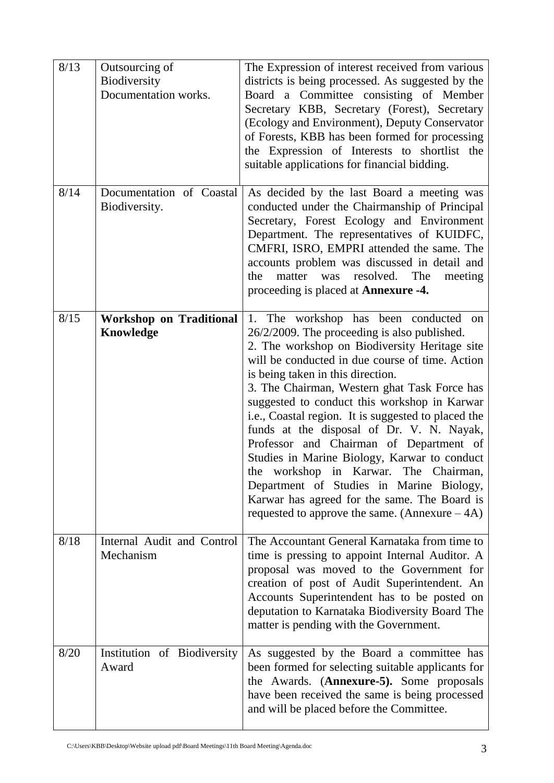| 8/13 | Outsourcing of<br>Biodiversity<br>Documentation works. | The Expression of interest received from various<br>districts is being processed. As suggested by the<br>Board a Committee consisting of Member<br>Secretary KBB, Secretary (Forest), Secretary<br>(Ecology and Environment), Deputy Conservator<br>of Forests, KBB has been formed for processing<br>the Expression of Interests to shortlist the<br>suitable applications for financial bidding.                                                                                                                                                                                                                                                                                                                        |
|------|--------------------------------------------------------|---------------------------------------------------------------------------------------------------------------------------------------------------------------------------------------------------------------------------------------------------------------------------------------------------------------------------------------------------------------------------------------------------------------------------------------------------------------------------------------------------------------------------------------------------------------------------------------------------------------------------------------------------------------------------------------------------------------------------|
| 8/14 | Documentation of Coastal<br>Biodiversity.              | As decided by the last Board a meeting was<br>conducted under the Chairmanship of Principal<br>Secretary, Forest Ecology and Environment<br>Department. The representatives of KUIDFC,<br>CMFRI, ISRO, EMPRI attended the same. The<br>accounts problem was discussed in detail and<br>matter<br>was<br>resolved. The<br>the<br>meeting<br>proceeding is placed at <b>Annexure -4.</b>                                                                                                                                                                                                                                                                                                                                    |
| 8/15 | <b>Workshop on Traditional</b><br>Knowledge            | 1. The workshop has been conducted<br>on<br>26/2/2009. The proceeding is also published.<br>2. The workshop on Biodiversity Heritage site<br>will be conducted in due course of time. Action<br>is being taken in this direction.<br>3. The Chairman, Western ghat Task Force has<br>suggested to conduct this workshop in Karwar<br>i.e., Coastal region. It is suggested to placed the<br>funds at the disposal of Dr. V. N. Nayak,<br>Professor and Chairman of Department of<br>Studies in Marine Biology, Karwar to conduct<br>the workshop in Karwar. The Chairman,<br>Department of Studies in Marine Biology,<br>Karwar has agreed for the same. The Board is<br>requested to approve the same. (Annexure $-4A$ ) |
| 8/18 | Internal Audit and Control<br>Mechanism                | The Accountant General Karnataka from time to<br>time is pressing to appoint Internal Auditor. A<br>proposal was moved to the Government for<br>creation of post of Audit Superintendent. An<br>Accounts Superintendent has to be posted on<br>deputation to Karnataka Biodiversity Board The<br>matter is pending with the Government.                                                                                                                                                                                                                                                                                                                                                                                   |
| 8/20 | Institution of Biodiversity<br>Award                   | As suggested by the Board a committee has<br>been formed for selecting suitable applicants for<br>the Awards. (Annexure-5). Some proposals<br>have been received the same is being processed<br>and will be placed before the Committee.                                                                                                                                                                                                                                                                                                                                                                                                                                                                                  |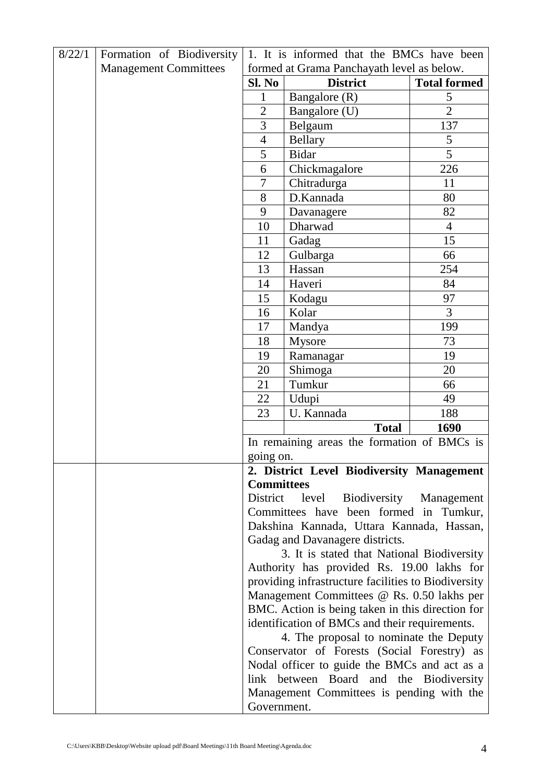| 8/22/1 | Formation of Biodiversity    | 1. It is informed that the BMCs have been                                                      |                                                     |                     |
|--------|------------------------------|------------------------------------------------------------------------------------------------|-----------------------------------------------------|---------------------|
|        | <b>Management Committees</b> | formed at Grama Panchayath level as below.                                                     |                                                     |                     |
|        |                              | Sl. No<br><b>District</b>                                                                      |                                                     | <b>Total formed</b> |
|        |                              | 1                                                                                              | Bangalore (R)                                       | 5                   |
|        |                              |                                                                                                | Bangalore (U)                                       | $\overline{2}$      |
|        |                              |                                                                                                | Belgaum                                             | 137                 |
|        |                              |                                                                                                | <b>Bellary</b>                                      | 5                   |
|        |                              |                                                                                                | <b>Bidar</b>                                        | 5                   |
|        |                              | 6                                                                                              | Chickmagalore                                       | 226                 |
|        |                              | $\overline{7}$                                                                                 | Chitradurga                                         | 11                  |
|        |                              | $8\,$                                                                                          | D.Kannada                                           | 80                  |
|        |                              | 9                                                                                              | Davanagere                                          | 82                  |
|        |                              | 10                                                                                             | Dharwad                                             | $\overline{4}$      |
|        |                              | 11                                                                                             | Gadag                                               | 15                  |
|        |                              | 12                                                                                             | Gulbarga                                            | 66                  |
|        |                              | 13                                                                                             | Hassan                                              | 254                 |
|        |                              | 14                                                                                             | Haveri                                              | 84                  |
|        |                              | 15                                                                                             | Kodagu                                              | 97                  |
|        |                              | 16                                                                                             | Kolar                                               | 3                   |
|        |                              | 17                                                                                             | Mandya                                              | 199                 |
|        |                              | 18                                                                                             | Mysore                                              | 73                  |
|        |                              | 19                                                                                             | Ramanagar                                           | 19                  |
|        |                              | 20                                                                                             | Shimoga                                             | 20                  |
|        |                              | 21                                                                                             | Tumkur                                              | 66                  |
|        |                              | 22                                                                                             | Udupi                                               | 49                  |
|        |                              | 23                                                                                             | U. Kannada                                          | 188                 |
|        |                              |                                                                                                | <b>Total</b>                                        | 1690                |
|        |                              |                                                                                                | In remaining areas the formation of BMCs is         |                     |
|        |                              | going on.                                                                                      |                                                     |                     |
|        |                              |                                                                                                | 2. District Level Biodiversity Management           |                     |
|        |                              | <b>Committees</b>                                                                              |                                                     |                     |
|        |                              | District                                                                                       | Biodiversity<br>level                               | Management          |
|        |                              |                                                                                                | Committees have been formed in Tumkur,              |                     |
|        |                              |                                                                                                | Dakshina Kannada, Uttara Kannada, Hassan,           |                     |
|        |                              |                                                                                                | Gadag and Davanagere districts.                     |                     |
|        |                              |                                                                                                | 3. It is stated that National Biodiversity          |                     |
|        |                              |                                                                                                | Authority has provided Rs. 19.00 lakhs for          |                     |
|        |                              |                                                                                                | providing infrastructure facilities to Biodiversity |                     |
|        |                              | Management Committees @ Rs. 0.50 lakhs per<br>BMC. Action is being taken in this direction for |                                                     |                     |
|        |                              |                                                                                                |                                                     |                     |
|        |                              | identification of BMCs and their requirements.                                                 |                                                     |                     |
|        |                              | 4. The proposal to nominate the Deputy                                                         |                                                     |                     |
|        |                              | Conservator of Forests (Social Forestry) as                                                    |                                                     |                     |
|        |                              |                                                                                                | Nodal officer to guide the BMCs and act as a        |                     |
|        |                              | link between Board and the Biodiversity                                                        |                                                     |                     |
|        |                              |                                                                                                | Management Committees is pending with the           |                     |
|        |                              | Government.                                                                                    |                                                     |                     |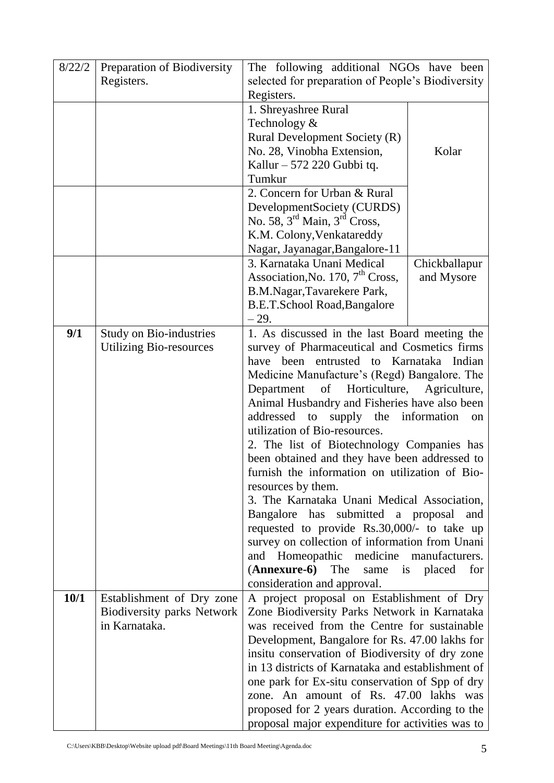| 8/22/2 | Preparation of Biodiversity    | The following additional NGOs have been                                                       |                  |  |  |
|--------|--------------------------------|-----------------------------------------------------------------------------------------------|------------------|--|--|
|        | Registers.                     | selected for preparation of People's Biodiversity                                             |                  |  |  |
|        |                                | Registers.                                                                                    |                  |  |  |
|        |                                | 1. Shreyashree Rural                                                                          |                  |  |  |
|        |                                | Technology &                                                                                  |                  |  |  |
|        |                                | Rural Development Society (R)                                                                 |                  |  |  |
|        |                                | No. 28, Vinobha Extension,<br>Kolar                                                           |                  |  |  |
|        |                                | Kallur – 572 220 Gubbi tq.                                                                    |                  |  |  |
|        |                                | Tumkur                                                                                        |                  |  |  |
|        |                                | 2. Concern for Urban & Rural                                                                  |                  |  |  |
|        |                                | DevelopmentSociety (CURDS)                                                                    |                  |  |  |
|        |                                | No. $58, 3^{\text{rd}}$ Main, $3^{\text{rd}}$ Cross,                                          |                  |  |  |
|        |                                | K.M. Colony, Venkatareddy                                                                     |                  |  |  |
|        |                                | Nagar, Jayanagar, Bangalore-11                                                                |                  |  |  |
|        |                                | 3. Karnataka Unani Medical                                                                    | Chickballapur    |  |  |
|        |                                | Association, No. 170, 7 <sup>th</sup> Cross,                                                  | and Mysore       |  |  |
|        |                                | B.M.Nagar, Tavarekere Park,                                                                   |                  |  |  |
|        |                                | B.E.T.School Road, Bangalore                                                                  |                  |  |  |
|        |                                | $-29.$                                                                                        |                  |  |  |
| 9/1    | <b>Study on Bio-industries</b> | 1. As discussed in the last Board meeting the                                                 |                  |  |  |
|        | <b>Utilizing Bio-resources</b> | survey of Pharmaceutical and Cosmetics firms<br>entrusted to Karnataka Indian<br>been<br>have |                  |  |  |
|        |                                |                                                                                               |                  |  |  |
|        |                                | Medicine Manufacture's (Regd) Bangalore. The<br>of<br>Horticulture,<br>Department             | Agriculture,     |  |  |
|        |                                |                                                                                               |                  |  |  |
|        |                                | Animal Husbandry and Fisheries have also been                                                 |                  |  |  |
|        |                                | addressed<br>supply<br>the<br>information<br>to<br>on<br>utilization of Bio-resources.        |                  |  |  |
|        |                                | 2. The list of Biotechnology Companies has                                                    |                  |  |  |
|        |                                | been obtained and they have been addressed to                                                 |                  |  |  |
|        |                                | furnish the information on utilization of Bio-                                                |                  |  |  |
|        |                                | resources by them.                                                                            |                  |  |  |
|        |                                | 3. The Karnataka Unani Medical Association,                                                   |                  |  |  |
|        |                                | Bangalore has submitted a proposal<br>and                                                     |                  |  |  |
|        |                                | requested to provide Rs.30,000/- to take up                                                   |                  |  |  |
|        |                                | survey on collection of information from Unani                                                |                  |  |  |
|        |                                | and Homeopathic medicine manufacturers.                                                       |                  |  |  |
|        |                                | ( <b>Annexure-6</b> ) The<br>same                                                             | is placed<br>for |  |  |
|        |                                | consideration and approval.                                                                   |                  |  |  |
| 10/1   | Establishment of Dry zone      | A project proposal on Establishment of Dry                                                    |                  |  |  |
|        | Biodiversity parks Network     | Zone Biodiversity Parks Network in Karnataka                                                  |                  |  |  |
|        | in Karnataka.                  | was received from the Centre for sustainable                                                  |                  |  |  |
|        |                                | Development, Bangalore for Rs. 47.00 lakhs for                                                |                  |  |  |
|        |                                | insitu conservation of Biodiversity of dry zone                                               |                  |  |  |
|        |                                | in 13 districts of Karnataka and establishment of                                             |                  |  |  |
|        |                                | one park for Ex-situ conservation of Spp of dry                                               |                  |  |  |
|        |                                | zone. An amount of Rs. 47.00 lakhs was                                                        |                  |  |  |
|        |                                | proposed for 2 years duration. According to the                                               |                  |  |  |
|        |                                | proposal major expenditure for activities was to                                              |                  |  |  |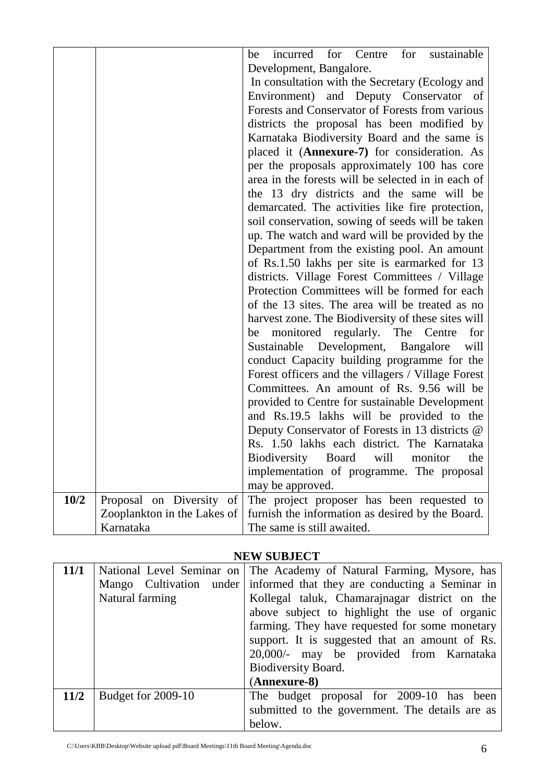|      |                             | incurred for Centre for sustainable<br>be                                                 |  |  |
|------|-----------------------------|-------------------------------------------------------------------------------------------|--|--|
|      |                             | Development, Bangalore.                                                                   |  |  |
|      |                             | In consultation with the Secretary (Ecology and<br>Environment) and Deputy Conservator of |  |  |
|      |                             | Forests and Conservator of Forests from various                                           |  |  |
|      |                             | districts the proposal has been modified by                                               |  |  |
|      |                             | Karnataka Biodiversity Board and the same is                                              |  |  |
|      |                             | placed it (Annexure-7) for consideration. As                                              |  |  |
|      |                             | per the proposals approximately 100 has core                                              |  |  |
|      |                             | area in the forests will be selected in in each of                                        |  |  |
|      |                             | the 13 dry districts and the same will be                                                 |  |  |
|      |                             | demarcated. The activities like fire protection,                                          |  |  |
|      |                             | soil conservation, sowing of seeds will be taken                                          |  |  |
|      |                             | up. The watch and ward will be provided by the                                            |  |  |
|      |                             | Department from the existing pool. An amount                                              |  |  |
|      |                             | of Rs.1.50 lakhs per site is earmarked for 13                                             |  |  |
|      |                             | districts. Village Forest Committees / Village                                            |  |  |
|      |                             | Protection Committees will be formed for each                                             |  |  |
|      |                             | of the 13 sites. The area will be treated as no                                           |  |  |
|      |                             | harvest zone. The Biodiversity of these sites will                                        |  |  |
|      |                             | be monitored regularly. The Centre<br>for                                                 |  |  |
|      |                             | Sustainable Development, Bangalore<br>will                                                |  |  |
|      |                             | conduct Capacity building programme for the                                               |  |  |
|      |                             | Forest officers and the villagers / Village Forest                                        |  |  |
|      |                             | Committees. An amount of Rs. 9.56 will be                                                 |  |  |
|      |                             | provided to Centre for sustainable Development                                            |  |  |
|      |                             | and Rs.19.5 lakhs will be provided to the                                                 |  |  |
|      |                             | Deputy Conservator of Forests in 13 districts @                                           |  |  |
|      |                             | Rs. 1.50 lakhs each district. The Karnataka                                               |  |  |
|      |                             | Biodiversity Board<br>will<br>monitor<br>the                                              |  |  |
|      |                             | implementation of programme. The proposal                                                 |  |  |
|      |                             | may be approved.                                                                          |  |  |
| 10/2 | Proposal on Diversity of    | The project proposer has been requested to                                                |  |  |
|      | Zooplankton in the Lakes of | furnish the information as desired by the Board.                                          |  |  |
|      | Karnataka                   | The same is still awaited.                                                                |  |  |

## **NEW SUBJECT**

| 11/1 |                         | National Level Seminar on   The Academy of Natural Farming, Mysore, has |  |
|------|-------------------------|-------------------------------------------------------------------------|--|
|      | Mango Cultivation under | informed that they are conducting a Seminar in                          |  |
|      | Natural farming         | Kollegal taluk, Chamarajnagar district on the                           |  |
|      |                         | above subject to highlight the use of organic                           |  |
|      |                         | farming. They have requested for some monetary                          |  |
|      |                         | support. It is suggested that an amount of Rs.                          |  |
|      |                         | 20,000/- may be provided from Karnataka                                 |  |
|      |                         | Biodiversity Board.                                                     |  |
|      |                         | (Annexure-8)                                                            |  |
| 11/2 | Budget for 2009-10      | The budget proposal for 2009-10 has been                                |  |
|      |                         | submitted to the government. The details are as                         |  |
|      |                         | below.                                                                  |  |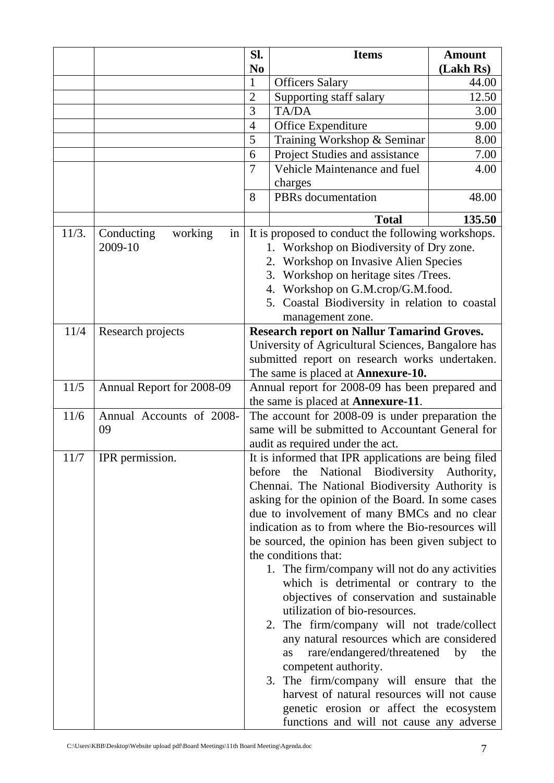|       |                                        | Sl.                                                                                                                                                                                                                                                                                      | <b>Items</b>                                         | <b>Amount</b> |
|-------|----------------------------------------|------------------------------------------------------------------------------------------------------------------------------------------------------------------------------------------------------------------------------------------------------------------------------------------|------------------------------------------------------|---------------|
|       |                                        | N <sub>0</sub>                                                                                                                                                                                                                                                                           |                                                      | (Lakh Rs)     |
|       |                                        | $\mathbf{1}$                                                                                                                                                                                                                                                                             | <b>Officers Salary</b>                               | 44.00         |
|       |                                        | $\overline{2}$                                                                                                                                                                                                                                                                           | Supporting staff salary                              | 12.50         |
|       |                                        | 3                                                                                                                                                                                                                                                                                        | TA/DA                                                | 3.00          |
|       |                                        | $\overline{4}$                                                                                                                                                                                                                                                                           | Office Expenditure                                   | 9.00          |
|       |                                        | 5<br>Training Workshop & Seminar                                                                                                                                                                                                                                                         |                                                      | 8.00          |
|       |                                        | 6                                                                                                                                                                                                                                                                                        | Project Studies and assistance                       | 7.00          |
|       |                                        | $\overline{7}$                                                                                                                                                                                                                                                                           | Vehicle Maintenance and fuel                         | 4.00          |
|       |                                        |                                                                                                                                                                                                                                                                                          | charges                                              |               |
|       |                                        | 8                                                                                                                                                                                                                                                                                        | PBRs documentation                                   | 48.00         |
|       |                                        |                                                                                                                                                                                                                                                                                          | <b>Total</b>                                         | 135.50        |
| 11/3. | Conducting<br>working<br>in<br>2009-10 | It is proposed to conduct the following workshops.<br>Workshop on Biodiversity of Dry zone.<br>2. Workshop on Invasive Alien Species<br>3. Workshop on heritage sites /Trees.<br>4. Workshop on G.M.crop/G.M.food.<br>5. Coastal Biodiversity in relation to coastal<br>management zone. |                                                      |               |
| 11/4  | Research projects                      | <b>Research report on Nallur Tamarind Groves.</b><br>University of Agricultural Sciences, Bangalore has<br>submitted report on research works undertaken.<br>The same is placed at Annexure-10.                                                                                          |                                                      |               |
| 11/5  | Annual Report for 2008-09              |                                                                                                                                                                                                                                                                                          | Annual report for 2008-09 has been prepared and      |               |
| 11/6  | Annual Accounts of 2008-               | the same is placed at <b>Annexure-11</b> .<br>The account for 2008-09 is under preparation the                                                                                                                                                                                           |                                                      |               |
|       | 09                                     | same will be submitted to Accountant General for                                                                                                                                                                                                                                         |                                                      |               |
|       |                                        | audit as required under the act.                                                                                                                                                                                                                                                         |                                                      |               |
| 11/7  | IPR permission.                        |                                                                                                                                                                                                                                                                                          | It is informed that IPR applications are being filed |               |
|       |                                        | before                                                                                                                                                                                                                                                                                   | the National Biodiversity Authority,                 |               |
|       |                                        | Chennai. The National Biodiversity Authority is                                                                                                                                                                                                                                          |                                                      |               |
|       |                                        |                                                                                                                                                                                                                                                                                          | asking for the opinion of the Board. In some cases   |               |
|       |                                        |                                                                                                                                                                                                                                                                                          | due to involvement of many BMCs and no clear         |               |
|       |                                        |                                                                                                                                                                                                                                                                                          | indication as to from where the Bio-resources will   |               |
|       |                                        |                                                                                                                                                                                                                                                                                          | be sourced, the opinion has been given subject to    |               |
|       |                                        |                                                                                                                                                                                                                                                                                          | the conditions that:                                 |               |
|       |                                        |                                                                                                                                                                                                                                                                                          | 1. The firm/company will not do any activities       |               |
|       |                                        |                                                                                                                                                                                                                                                                                          | which is detrimental or contrary to the              |               |
|       |                                        |                                                                                                                                                                                                                                                                                          | objectives of conservation and sustainable           |               |
|       |                                        |                                                                                                                                                                                                                                                                                          | utilization of bio-resources.                        |               |
|       |                                        |                                                                                                                                                                                                                                                                                          | 2. The firm/company will not trade/collect           |               |
|       |                                        |                                                                                                                                                                                                                                                                                          | any natural resources which are considered           |               |
|       |                                        |                                                                                                                                                                                                                                                                                          | rare/endangered/threatened<br>as                     | by<br>the     |
|       |                                        |                                                                                                                                                                                                                                                                                          | competent authority.                                 |               |
|       |                                        | The firm/company will ensure that the<br>3.                                                                                                                                                                                                                                              |                                                      |               |
|       |                                        | harvest of natural resources will not cause                                                                                                                                                                                                                                              |                                                      |               |
|       |                                        | genetic erosion or affect the ecosystem                                                                                                                                                                                                                                                  |                                                      |               |
|       |                                        |                                                                                                                                                                                                                                                                                          | functions and will not cause any adverse             |               |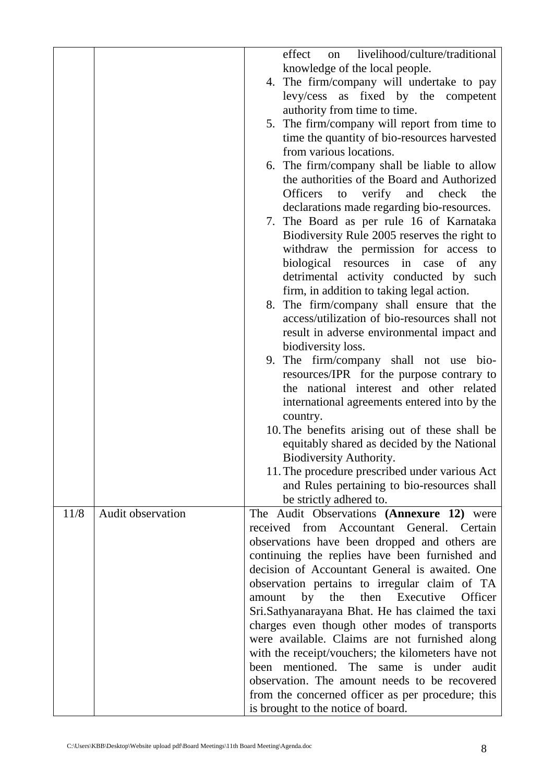|                                  | livelihood/culture/traditional<br>effect<br>on                                                     |
|----------------------------------|----------------------------------------------------------------------------------------------------|
|                                  | knowledge of the local people.                                                                     |
|                                  | 4. The firm/company will undertake to pay                                                          |
|                                  | levy/cess as fixed by the competent                                                                |
|                                  | authority from time to time.                                                                       |
|                                  | 5. The firm/company will report from time to                                                       |
|                                  | time the quantity of bio-resources harvested                                                       |
|                                  | from various locations.                                                                            |
|                                  |                                                                                                    |
|                                  | 6. The firm/company shall be liable to allow<br>the authorities of the Board and Authorized        |
|                                  |                                                                                                    |
|                                  | to verify and check<br><b>Officers</b><br>the                                                      |
|                                  | declarations made regarding bio-resources.                                                         |
|                                  | 7. The Board as per rule 16 of Karnataka                                                           |
|                                  | Biodiversity Rule 2005 reserves the right to                                                       |
|                                  | withdraw the permission for access to                                                              |
|                                  | biological resources in case of<br>any                                                             |
|                                  | detrimental activity conducted by such                                                             |
|                                  | firm, in addition to taking legal action.                                                          |
|                                  | 8. The firm/company shall ensure that the                                                          |
|                                  | access/utilization of bio-resources shall not                                                      |
|                                  | result in adverse environmental impact and                                                         |
|                                  | biodiversity loss.                                                                                 |
|                                  | 9. The firm/company shall not use bio-                                                             |
|                                  | resources/IPR for the purpose contrary to                                                          |
|                                  | the national interest and other related                                                            |
|                                  | international agreements entered into by the                                                       |
|                                  | country.                                                                                           |
|                                  | 10. The benefits arising out of these shall be                                                     |
|                                  | equitably shared as decided by the National                                                        |
|                                  | Biodiversity Authority.                                                                            |
|                                  | 11. The procedure prescribed under various Act                                                     |
|                                  | and Rules pertaining to bio-resources shall                                                        |
|                                  | be strictly adhered to.                                                                            |
| 11/8<br><b>Audit observation</b> | The Audit Observations (Annexure 12) were                                                          |
|                                  | received from Accountant General. Certain                                                          |
|                                  | observations have been dropped and others are                                                      |
|                                  | continuing the replies have been furnished and                                                     |
|                                  | decision of Accountant General is awaited. One                                                     |
|                                  | observation pertains to irregular claim of TA                                                      |
|                                  | by<br>the<br>then<br>Executive<br>Officer<br>amount                                                |
|                                  | Sri.Sathyanarayana Bhat. He has claimed the taxi                                                   |
|                                  | charges even though other modes of transports                                                      |
|                                  | were available. Claims are not furnished along                                                     |
|                                  | with the receipt/vouchers; the kilometers have not                                                 |
|                                  | mentioned. The<br>under<br>been<br>same is<br>audit                                                |
|                                  |                                                                                                    |
|                                  |                                                                                                    |
|                                  | observation. The amount needs to be recovered<br>from the concerned officer as per procedure; this |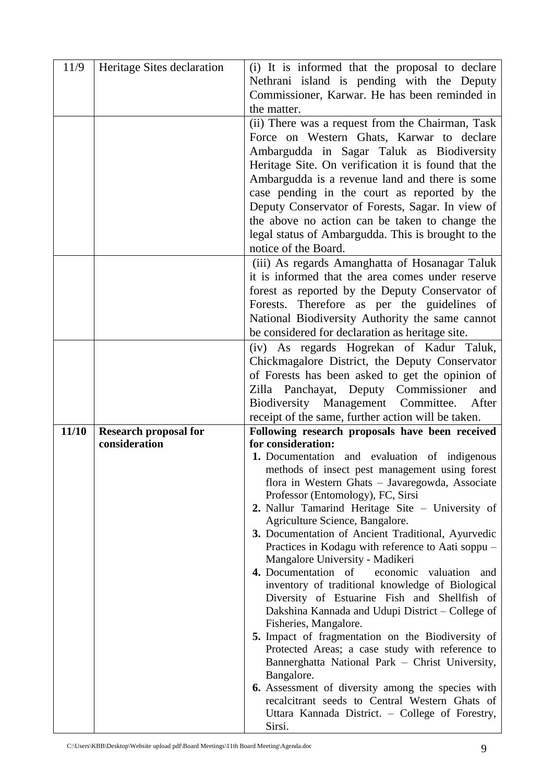| 11/9  | Heritage Sites declaration   | (i) It is informed that the proposal to declare                                                            |
|-------|------------------------------|------------------------------------------------------------------------------------------------------------|
|       |                              | Nethrani island is pending with the Deputy                                                                 |
|       |                              | Commissioner, Karwar. He has been reminded in                                                              |
|       |                              | the matter.                                                                                                |
|       |                              | (ii) There was a request from the Chairman, Task                                                           |
|       |                              | Force on Western Ghats, Karwar to declare                                                                  |
|       |                              | Ambargudda in Sagar Taluk as Biodiversity                                                                  |
|       |                              | Heritage Site. On verification it is found that the                                                        |
|       |                              | Ambargudda is a revenue land and there is some                                                             |
|       |                              | case pending in the court as reported by the                                                               |
|       |                              | Deputy Conservator of Forests, Sagar. In view of                                                           |
|       |                              | the above no action can be taken to change the                                                             |
|       |                              | legal status of Ambargudda. This is brought to the                                                         |
|       |                              | notice of the Board.                                                                                       |
|       |                              | (iii) As regards Amanghatta of Hosanagar Taluk                                                             |
|       |                              | it is informed that the area comes under reserve                                                           |
|       |                              | forest as reported by the Deputy Conservator of                                                            |
|       |                              | Forests. Therefore as per the guidelines of                                                                |
|       |                              | National Biodiversity Authority the same cannot                                                            |
|       |                              | be considered for declaration as heritage site.                                                            |
|       |                              | (iv) As regards Hogrekan of Kadur Taluk,                                                                   |
|       |                              | Chickmagalore District, the Deputy Conservator                                                             |
|       |                              | of Forests has been asked to get the opinion of                                                            |
|       |                              | Zilla Panchayat, Deputy Commissioner<br>and                                                                |
|       |                              |                                                                                                            |
|       |                              |                                                                                                            |
|       |                              | Biodiversity Management Committee.<br>After                                                                |
| 11/10 | <b>Research proposal for</b> | receipt of the same, further action will be taken.                                                         |
|       | consideration                | Following research proposals have been received<br>for consideration:                                      |
|       |                              | 1. Documentation and evaluation of indigenous                                                              |
|       |                              | methods of insect pest management using forest                                                             |
|       |                              | flora in Western Ghats - Javaregowda, Associate                                                            |
|       |                              | Professor (Entomology), FC, Sirsi                                                                          |
|       |                              | 2. Nallur Tamarind Heritage Site - University of                                                           |
|       |                              | Agriculture Science, Bangalore.                                                                            |
|       |                              | 3. Documentation of Ancient Traditional, Ayurvedic                                                         |
|       |                              | Practices in Kodagu with reference to Aati soppu –<br>Mangalore University - Madikeri                      |
|       |                              | 4. Documentation of<br>economic valuation and                                                              |
|       |                              | inventory of traditional knowledge of Biological                                                           |
|       |                              | Diversity of Estuarine Fish and Shellfish of                                                               |
|       |                              | Dakshina Kannada and Udupi District – College of                                                           |
|       |                              | Fisheries, Mangalore.                                                                                      |
|       |                              | 5. Impact of fragmentation on the Biodiversity of                                                          |
|       |                              | Protected Areas; a case study with reference to                                                            |
|       |                              | Bannerghatta National Park - Christ University,                                                            |
|       |                              | Bangalore.                                                                                                 |
|       |                              | <b>6.</b> Assessment of diversity among the species with<br>recalcitrant seeds to Central Western Ghats of |
|       |                              | Uttara Kannada District. - College of Forestry,                                                            |